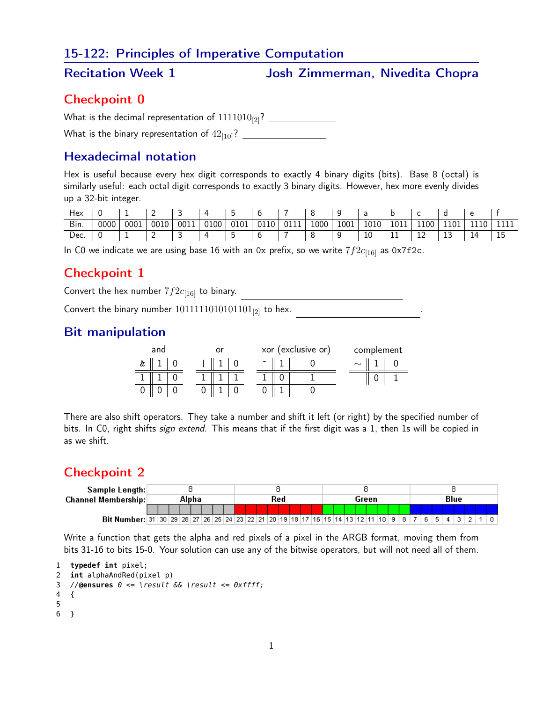## 15-122: Principles of Imperative Computation

Recitation Week 1 Marriet Superinsies Josh Zimmerman, Nivedita Chopra

## Checkpoint 0

What is the decimal representation of 1111010[2]?

What is the binary representation of 42[10]?

## Hexadecimal notation

Hex is useful because every hex digit corresponds to exactly 4 binary digits (bits). Base 8 (octal) is similarly useful: each octal digit corresponds to exactly 3 binary digits. However, hex more evenly divides up a 32-bit integer.

| $\boxed{ \text{Bin.} \parallel 0000 \mid 0001 \mid 0010 \mid 0011 \mid 0100}$ 0101 0110 0111 1000 1001 1010 1011 1100 1101 1110 1111 |  |  |  |  |  |  |  |  |
|--------------------------------------------------------------------------------------------------------------------------------------|--|--|--|--|--|--|--|--|
| Dec. 0 1 2 3 4 5 6 7 8 9 10 11 12 13 14 15                                                                                           |  |  |  |  |  |  |  |  |

In C0 we indicate we are using base 16 with an 0x prefix, so we write  $7f2c_{[16]}$  as 0x7f2c.

# Checkpoint 1

Convert the hex number  $7f2c_{[16]}$  to binary.

Convert the binary number  $1011111010101101_{[2]}$  to hex.

# Bit manipulation

|   | and |  |  |  |                     | xor (exclusive or) | complement |  |  |  |  |  |  |
|---|-----|--|--|--|---------------------|--------------------|------------|--|--|--|--|--|--|
| & |     |  |  |  | $\hat{\phantom{a}}$ |                    | $\sim$     |  |  |  |  |  |  |
|   |     |  |  |  |                     |                    |            |  |  |  |  |  |  |
|   |     |  |  |  |                     |                    |            |  |  |  |  |  |  |

There are also shift operators. They take a number and shift it left (or right) by the specified number of bits. In C0, right shifts sign extend. This means that if the first digit was a 1, then 1s will be copied in as we shift.

# Checkpoint 2

| Sample Length:                                                                                    |       |  |  |  |  |  |     |  |  |  |  |  |  |  |       |  |  |  |  |  |  |  |      |  |  |  |  |  |  |  |  |  |  |
|---------------------------------------------------------------------------------------------------|-------|--|--|--|--|--|-----|--|--|--|--|--|--|--|-------|--|--|--|--|--|--|--|------|--|--|--|--|--|--|--|--|--|--|
| <b>Channel Membership:</b>                                                                        | Alpha |  |  |  |  |  | Red |  |  |  |  |  |  |  | Green |  |  |  |  |  |  |  | Blue |  |  |  |  |  |  |  |  |  |  |
|                                                                                                   |       |  |  |  |  |  |     |  |  |  |  |  |  |  |       |  |  |  |  |  |  |  |      |  |  |  |  |  |  |  |  |  |  |
| Bit Number: 31 30 29 28 27 26 25 24 23 22 21 20 19 18 17 16 15 14 13 12 11 10 9 8 7 6 1 6 1 7 3 2 |       |  |  |  |  |  |     |  |  |  |  |  |  |  |       |  |  |  |  |  |  |  |      |  |  |  |  |  |  |  |  |  |  |

Write a function that gets the alpha and red pixels of a pixel in the ARGB format, moving them from bits 31-16 to bits 15-0. Your solution can use any of the bitwise operators, but will not need all of them.

```
1 typedef int pixel;
```

```
2 int alphaAndRed(pixel p)
3 //@ensures 0 <= \result && \result <= 0xffff;
4 {
5
6 }
```